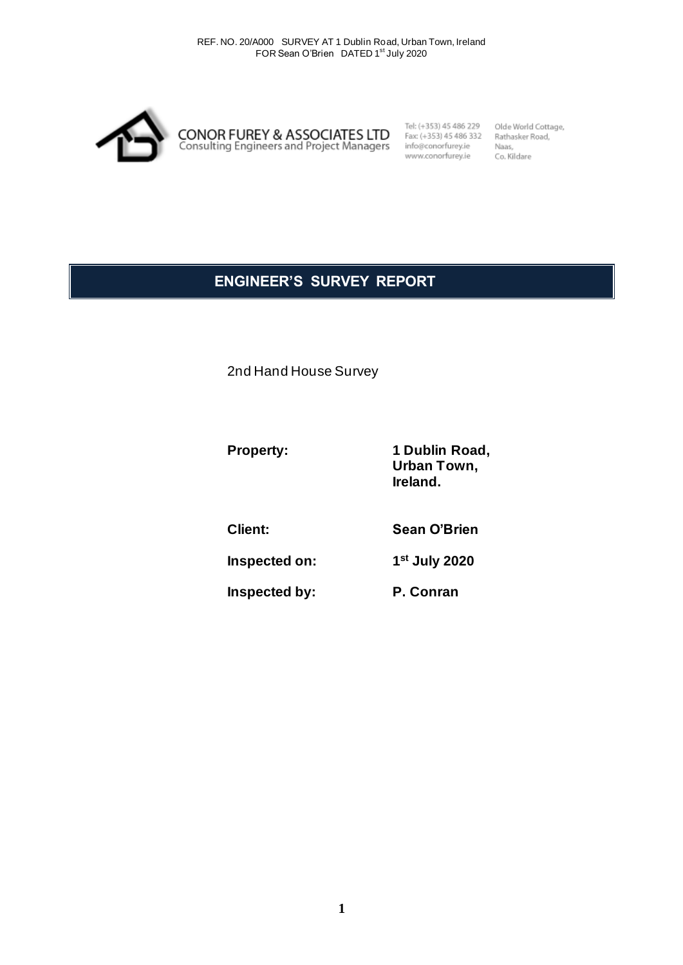

Tel: (+353) 45 486 229 Fax: (+353) 45 486 332 info@conorfurey.ie www.conorfurey.ie

Olde World Cottage, Rathasker Road, Naas, Co. Kildare

# **ENGINEER'S SURVEY REPORT**

2nd Hand House Survey

Property: 1 Dublin Road, **Urban Town, Ireland.**

**Client: Sean O'Brien**

**Inspected on: 1 st July 2020**

**Inspected by: P. Conran**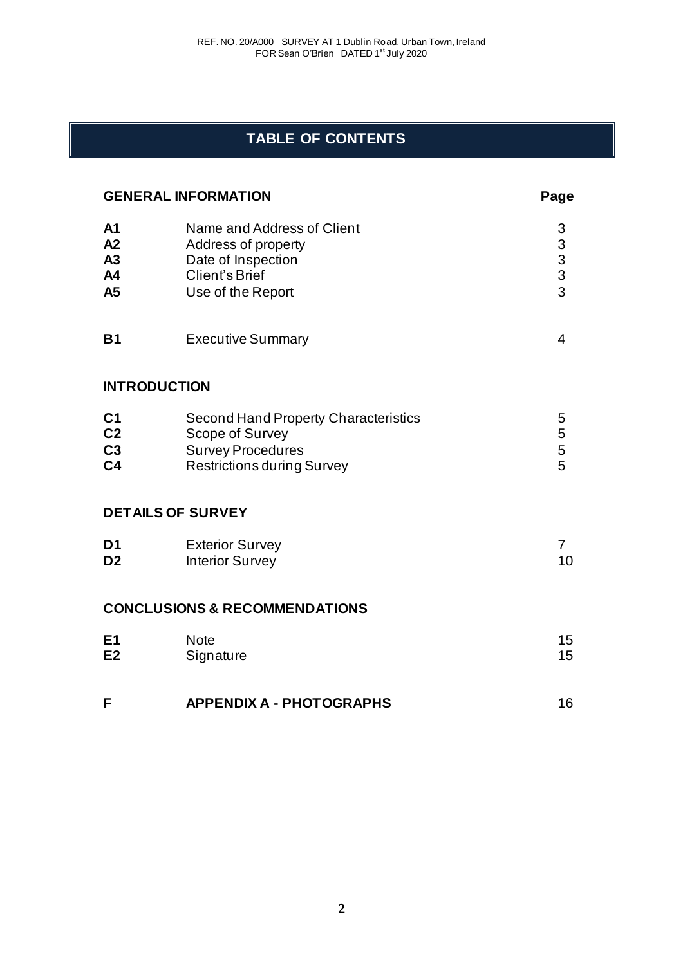# **TABLE OF CONTENTS**

| <b>GENERAL INFORMATION</b>                               |                                                                                                                                 | Page                                            |
|----------------------------------------------------------|---------------------------------------------------------------------------------------------------------------------------------|-------------------------------------------------|
| A <sub>1</sub><br>A2<br>A3<br>A4<br>A5                   | Name and Address of Client<br>Address of property<br>Date of Inspection<br>Client's Brief<br>Use of the Report                  | 3<br>$\begin{array}{c} 3 \\ 3 \\ 3 \end{array}$ |
| <b>B1</b>                                                | <b>Executive Summary</b>                                                                                                        | 4                                               |
|                                                          | <b>INTRODUCTION</b>                                                                                                             |                                                 |
| C <sub>1</sub><br>C <sub>2</sub><br>C3<br>C <sub>4</sub> | <b>Second Hand Property Characteristics</b><br>Scope of Survey<br><b>Survey Procedures</b><br><b>Restrictions during Survey</b> | 5<br>5<br>5<br>5                                |
|                                                          | <b>DETAILS OF SURVEY</b>                                                                                                        |                                                 |
| D <sub>1</sub><br>D <sub>2</sub>                         | <b>Exterior Survey</b><br><b>Interior Survey</b>                                                                                | $\overline{7}$<br>10                            |
|                                                          | <b>CONCLUSIONS &amp; RECOMMENDATIONS</b>                                                                                        |                                                 |
| E <sub>1</sub><br>E2                                     | <b>Note</b><br>Signature                                                                                                        | 15<br>15                                        |
| F                                                        | <b>APPENDIX A - PHOTOGRAPHS</b>                                                                                                 | 16                                              |

**2**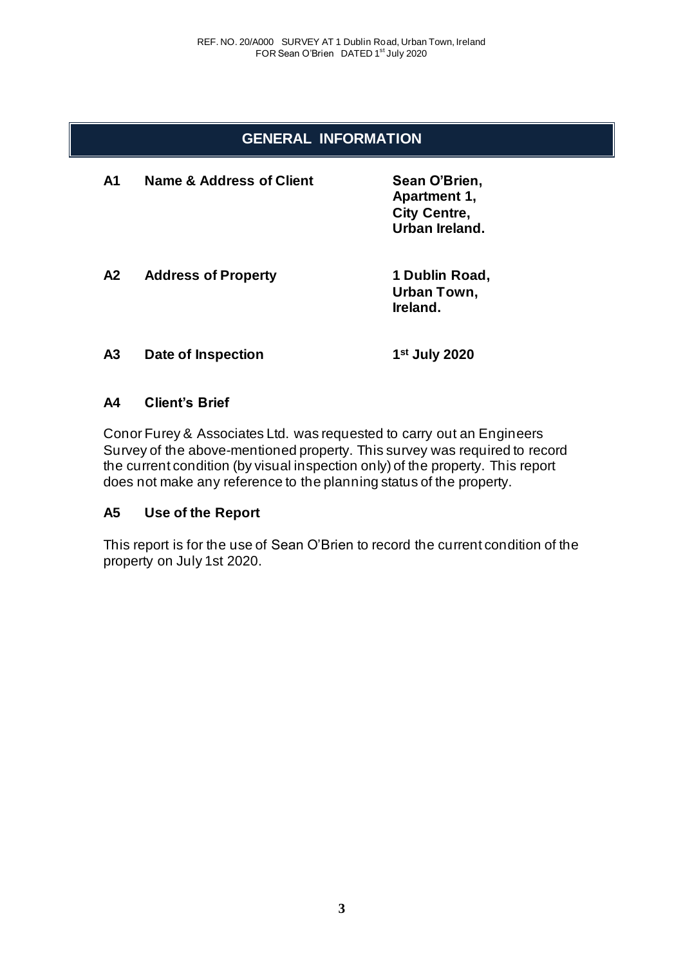# **GENERAL INFORMATION**

| A1 | Name & Address of Client   | Sean O'Brien,<br>Apartment 1,<br><b>City Centre,</b><br>Urban Ireland. |
|----|----------------------------|------------------------------------------------------------------------|
| A2 | <b>Address of Property</b> | 1 Dublin Road,<br>Urban Town,<br>Ireland.                              |
| А3 | Date of Inspection         | 1 <sup>st</sup> July 2020                                              |

## **A4 Client's Brief**

Conor Furey & Associates Ltd. was requested to carry out an Engineers Survey of the above-mentioned property. This survey was required to record the current condition (by visual inspection only) of the property. This report does not make any reference to the planning status of the property.

# **A5 Use of the Report**

This report is for the use of Sean O'Brien to record the current condition of the property on July 1st 2020.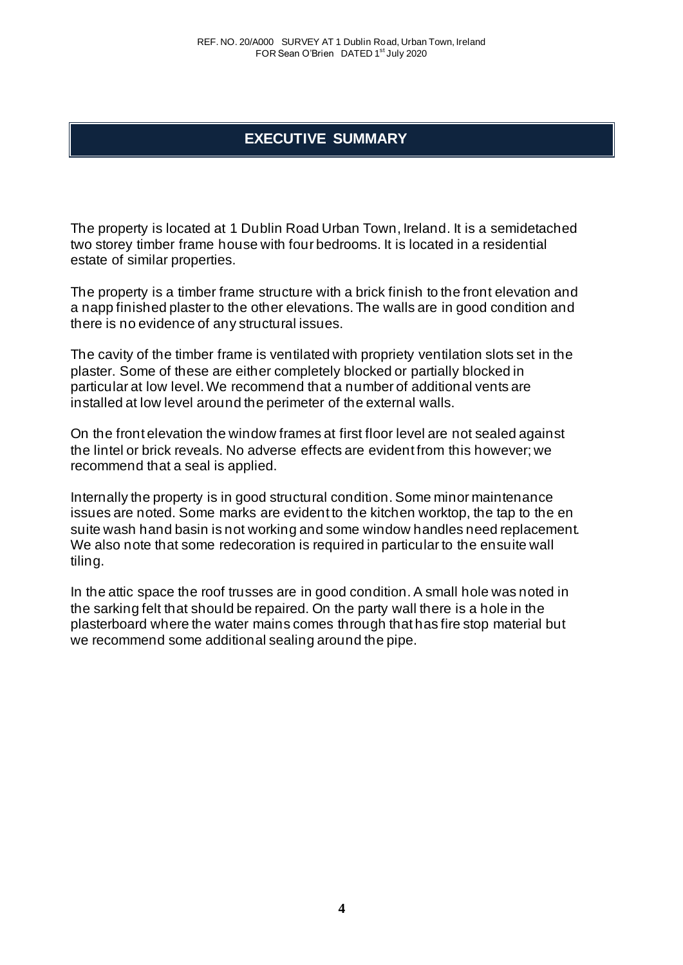# **EXECUTIVE SUMMARY**

The property is located at 1 Dublin Road Urban Town, Ireland. It is a semidetached two storey timber frame house with four bedrooms. It is located in a residential estate of similar properties.

The property is a timber frame structure with a brick finish to the front elevation and a napp finished plaster to the other elevations. The walls are in good condition and there is no evidence of any structural issues.

The cavity of the timber frame is ventilated with propriety ventilation slots set in the plaster. Some of these are either completely blocked or partially blocked in particular at low level. We recommend that a number of additional vents are installed at low level around the perimeter of the external walls.

On the front elevation the window frames at first floor level are not sealed against the lintel or brick reveals. No adverse effects are evident from this however; we recommend that a seal is applied.

Internally the property is in good structural condition. Some minor maintenance issues are noted. Some marks are evident to the kitchen worktop, the tap to the en suite wash hand basin is not working and some window handles need replacement. We also note that some redecoration is required in particular to the ensuite wall tiling.

In the attic space the roof trusses are in good condition. A small hole was noted in the sarking felt that should be repaired. On the party wall there is a hole in the plasterboard where the water mains comes through that has fire stop material but we recommend some additional sealing around the pipe.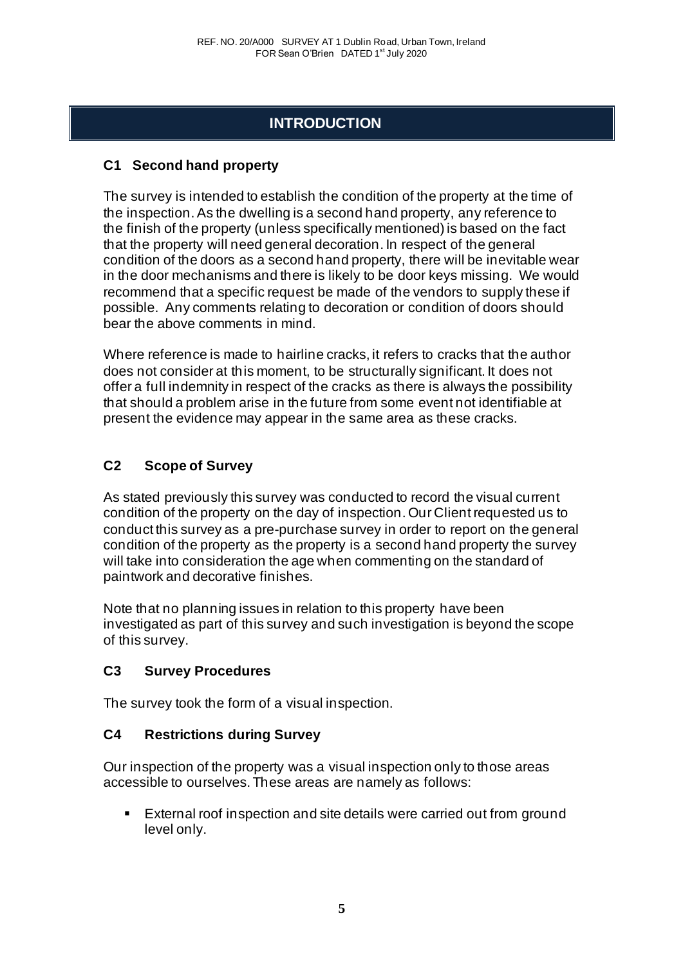# **INTRODUCTION**

# **C1 Second hand property**

The survey is intended to establish the condition of the property at the time of the inspection. As the dwelling is a second hand property, any reference to the finish of the property (unless specifically mentioned) is based on the fact that the property will need general decoration. In respect of the general condition of the doors as a second hand property, there will be inevitable wear in the door mechanisms and there is likely to be door keys missing. We would recommend that a specific request be made of the vendors to supply these if possible. Any comments relating to decoration or condition of doors should bear the above comments in mind.

Where reference is made to hairline cracks, it refers to cracks that the author does not consider at this moment, to be structurally significant. It does not offer a full indemnity in respect of the cracks as there is always the possibility that should a problem arise in the future from some event not identifiable at present the evidence may appear in the same area as these cracks.

# **C2 Scope of Survey**

As stated previously this survey was conducted to record the visual current condition of the property on the day of inspection. Our Client requested us to conduct this survey as a pre-purchase survey in order to report on the general condition of the property as the property is a second hand property the survey will take into consideration the age when commenting on the standard of paintwork and decorative finishes.

Note that no planning issues in relation to this property have been investigated as part of this survey and such investigation is beyond the scope of this survey.

# **C3 Survey Procedures**

The survey took the form of a visual inspection.

# **C4 Restrictions during Survey**

Our inspection of the property was a visual inspection only to those areas accessible to ourselves. These areas are namely as follows:

External roof inspection and site details were carried out from ground level only.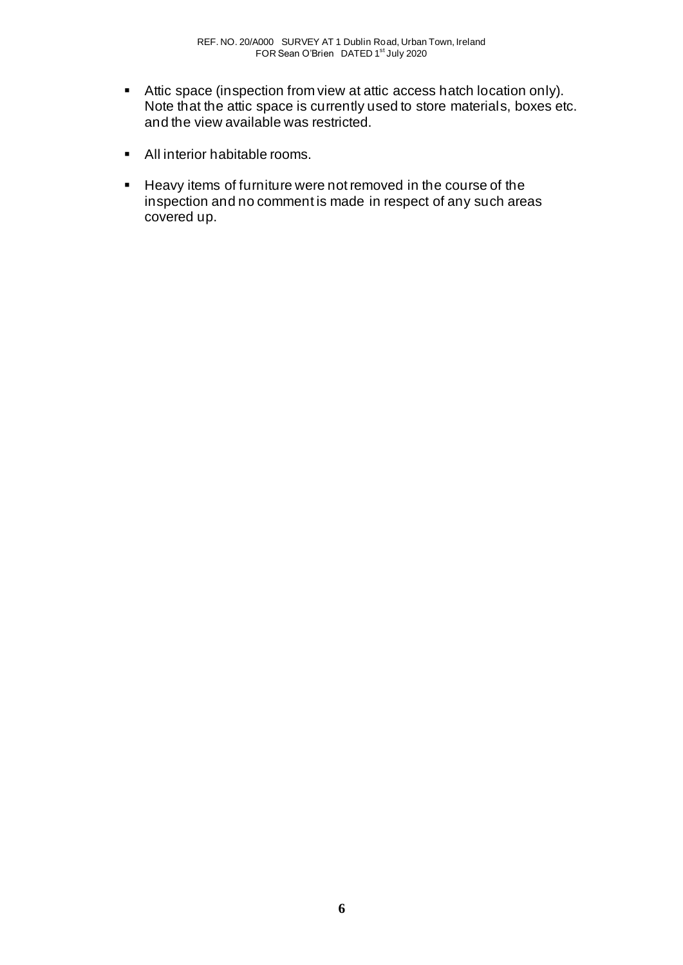- Attic space (inspection from view at attic access hatch location only). Note that the attic space is currently used to store materials, boxes etc. and the view available was restricted.
- All interior habitable rooms.
- Heavy items of furniture were not removed in the course of the inspection and no comment is made in respect of any such areas covered up.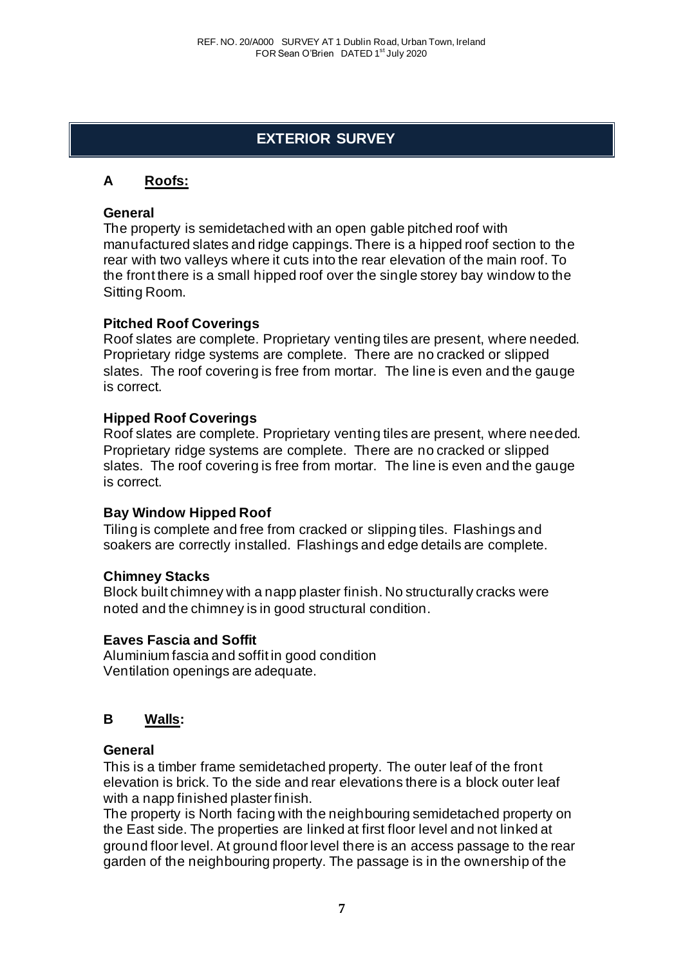# **EXTERIOR SURVEY**

# **A Roofs:**

## **General**

The property is semidetached with an open gable pitched roof with manufactured slates and ridge cappings. There is a hipped roof section to the rear with two valleys where it cuts into the rear elevation of the main roof. To the front there is a small hipped roof over the single storey bay window to the Sitting Room.

#### **Pitched Roof Coverings**

Roof slates are complete. Proprietary venting tiles are present, where needed. Proprietary ridge systems are complete. There are no cracked or slipped slates. The roof covering is free from mortar. The line is even and the gauge is correct.

## **Hipped Roof Coverings**

Roof slates are complete. Proprietary venting tiles are present, where needed. Proprietary ridge systems are complete. There are no cracked or slipped slates. The roof covering is free from mortar. The line is even and the gauge is correct.

## **Bay Window Hipped Roof**

Tiling is complete and free from cracked or slipping tiles. Flashings and soakers are correctly installed. Flashings and edge details are complete.

## **Chimney Stacks**

Block built chimney with a napp plaster finish. No structurally cracks were noted and the chimney is in good structural condition.

## **Eaves Fascia and Soffit**

Aluminium fascia and soffit in good condition Ventilation openings are adequate.

## **B Walls:**

#### **General**

This is a timber frame semidetached property. The outer leaf of the front elevation is brick. To the side and rear elevations there is a block outer leaf with a napp finished plaster finish.

The property is North facing with the neighbouring semidetached property on the East side. The properties are linked at first floor level and not linked at ground floor level. At ground floor level there is an access passage to the rear garden of the neighbouring property. The passage is in the ownership of the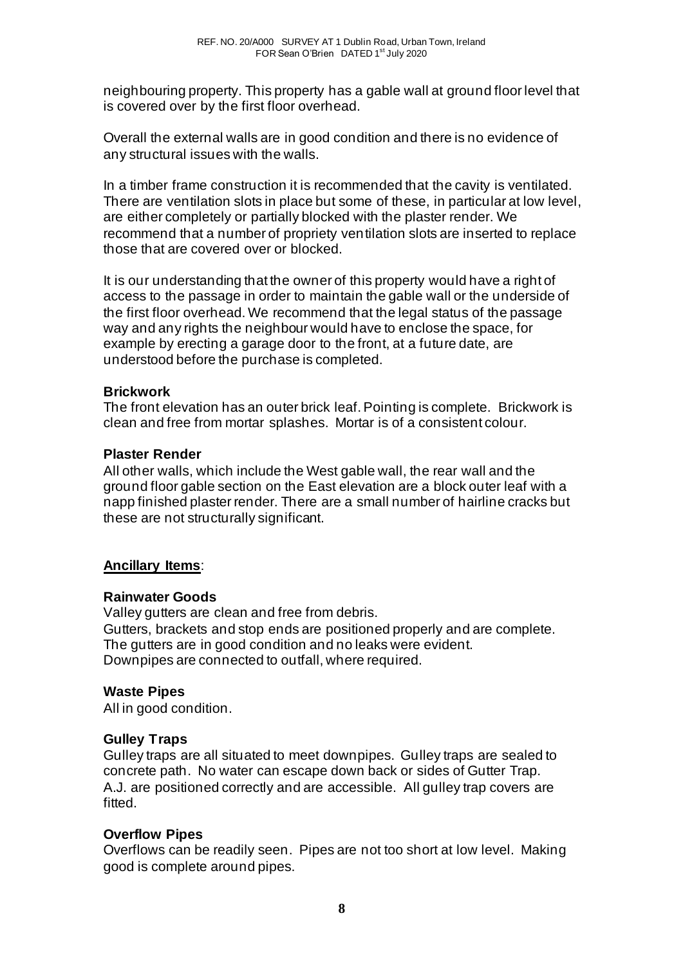neighbouring property. This property has a gable wall at ground floor level that is covered over by the first floor overhead.

Overall the external walls are in good condition and there is no evidence of any structural issues with the walls.

In a timber frame construction it is recommended that the cavity is ventilated. There are ventilation slots in place but some of these, in particular at low level, are either completely or partially blocked with the plaster render. We recommend that a number of propriety ventilation slots are inserted to replace those that are covered over or blocked.

It is our understanding that the owner of this property would have a right of access to the passage in order to maintain the gable wall or the underside of the first floor overhead. We recommend that the legal status of the passage way and any rights the neighbour would have to enclose the space, for example by erecting a garage door to the front, at a future date, are understood before the purchase is completed.

## **Brickwork**

The front elevation has an outer brick leaf. Pointing is complete. Brickwork is clean and free from mortar splashes. Mortar is of a consistent colour.

## **Plaster Render**

All other walls, which include the West gable wall, the rear wall and the ground floor gable section on the East elevation are a block outer leaf with a napp finished plaster render. There are a small number of hairline cracks but these are not structurally significant.

# **Ancillary Items**:

## **Rainwater Goods**

Valley gutters are clean and free from debris. Gutters, brackets and stop ends are positioned properly and are complete. The gutters are in good condition and no leaks were evident. Downpipes are connected to outfall, where required.

## **Waste Pipes**

All in good condition.

## **Gulley Traps**

Gulley traps are all situated to meet downpipes. Gulley traps are sealed to concrete path. No water can escape down back or sides of Gutter Trap. A.J. are positioned correctly and are accessible. All gulley trap covers are fitted.

# **Overflow Pipes**

Overflows can be readily seen. Pipes are not too short at low level. Making good is complete around pipes.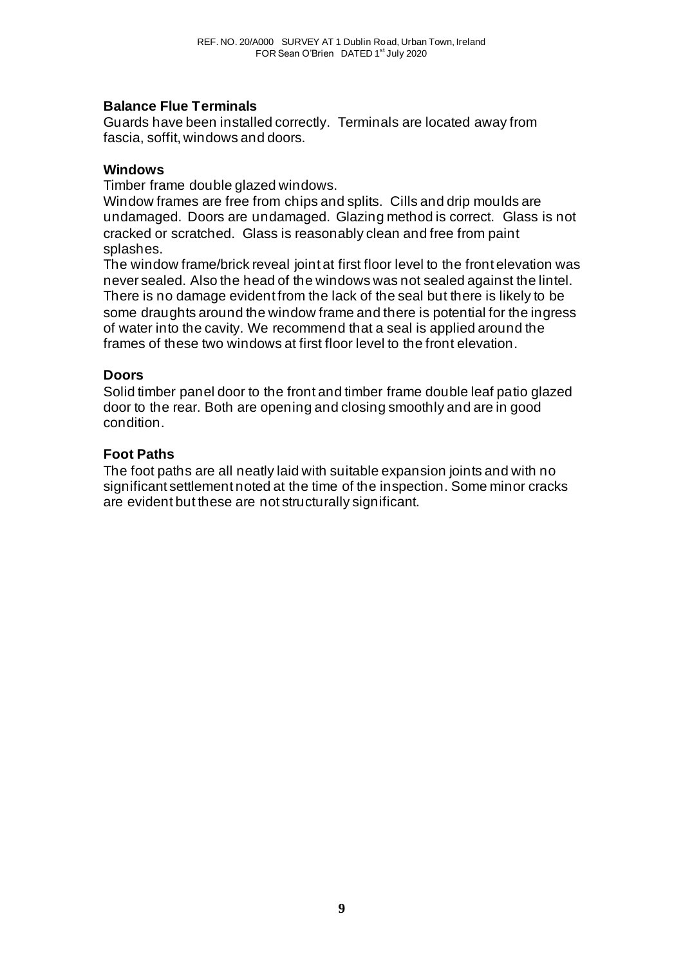## **Balance Flue Terminals**

Guards have been installed correctly. Terminals are located away from fascia, soffit, windows and doors.

### **Windows**

Timber frame double glazed windows.

Window frames are free from chips and splits. Cills and drip moulds are undamaged. Doors are undamaged. Glazing method is correct. Glass is not cracked or scratched. Glass is reasonably clean and free from paint splashes.

The window frame/brick reveal joint at first floor level to the front elevation was never sealed. Also the head of the windows was not sealed against the lintel. There is no damage evident from the lack of the seal but there is likely to be some draughts around the window frame and there is potential for the ingress of water into the cavity. We recommend that a seal is applied around the frames of these two windows at first floor level to the front elevation.

## **Doors**

Solid timber panel door to the front and timber frame double leaf patio glazed door to the rear. Both are opening and closing smoothly and are in good condition.

## **Foot Paths**

The foot paths are all neatly laid with suitable expansion joints and with no significant settlement noted at the time of the inspection. Some minor cracks are evident but these are not structurally significant.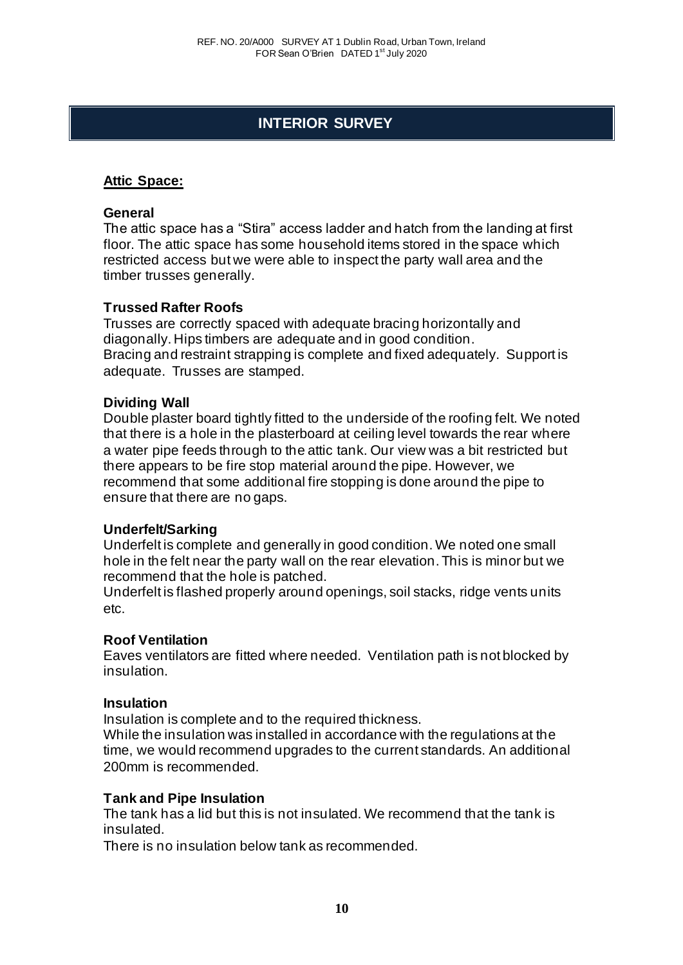# **INTERIOR SURVEY**

## **Attic Space:**

#### **General**

The attic space has a "Stira" access ladder and hatch from the landing at first floor. The attic space has some household items stored in the space which restricted access but we were able to inspect the party wall area and the timber trusses generally.

#### **Trussed Rafter Roofs**

Trusses are correctly spaced with adequate bracing horizontally and diagonally. Hips timbers are adequate and in good condition. Bracing and restraint strapping is complete and fixed adequately. Support is adequate. Trusses are stamped.

#### **Dividing Wall**

Double plaster board tightly fitted to the underside of the roofing felt. We noted that there is a hole in the plasterboard at ceiling level towards the rear where a water pipe feeds through to the attic tank. Our view was a bit restricted but there appears to be fire stop material around the pipe. However, we recommend that some additional fire stopping is done around the pipe to ensure that there are no gaps.

#### **Underfelt/Sarking**

Underfelt is complete and generally in good condition. We noted one small hole in the felt near the party wall on the rear elevation. This is minor but we recommend that the hole is patched.

Underfelt is flashed properly around openings, soil stacks, ridge vents units etc.

#### **Roof Ventilation**

Eaves ventilators are fitted where needed. Ventilation path is not blocked by insulation.

#### **Insulation**

Insulation is complete and to the required thickness.

While the insulation was installed in accordance with the regulations at the time, we would recommend upgrades to the current standards. An additional 200mm is recommended.

## **Tank and Pipe Insulation**

The tank has a lid but this is not insulated. We recommend that the tank is insulated.

There is no insulation below tank as recommended.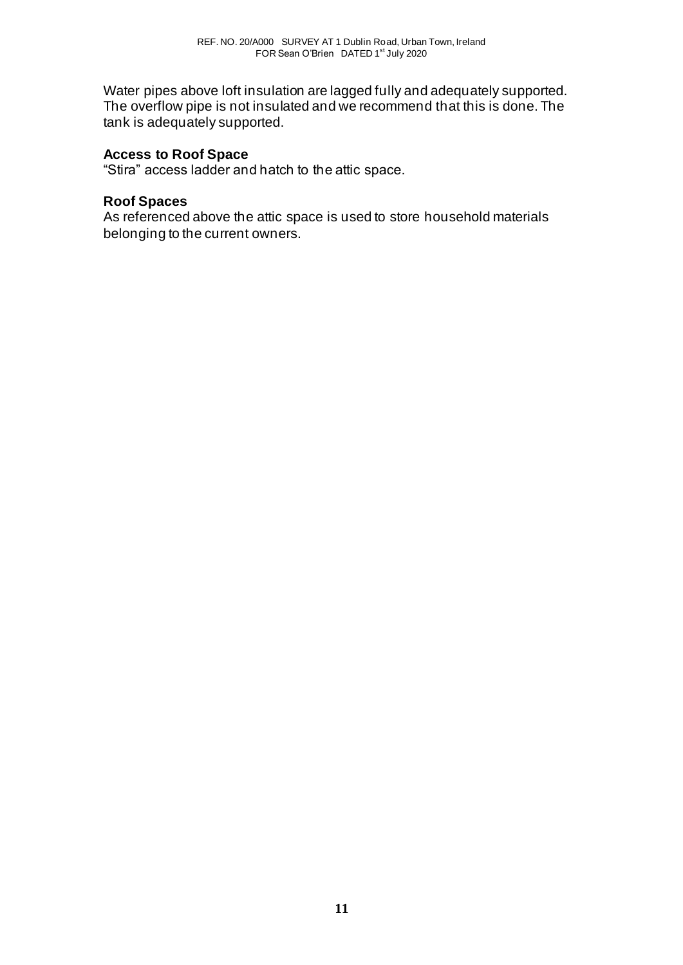Water pipes above loft insulation are lagged fully and adequately supported. The overflow pipe is not insulated and we recommend that this is done. The tank is adequately supported.

## **Access to Roof Space**

"Stira" access ladder and hatch to the attic space.

#### **Roof Spaces**

As referenced above the attic space is used to store household materials belonging to the current owners.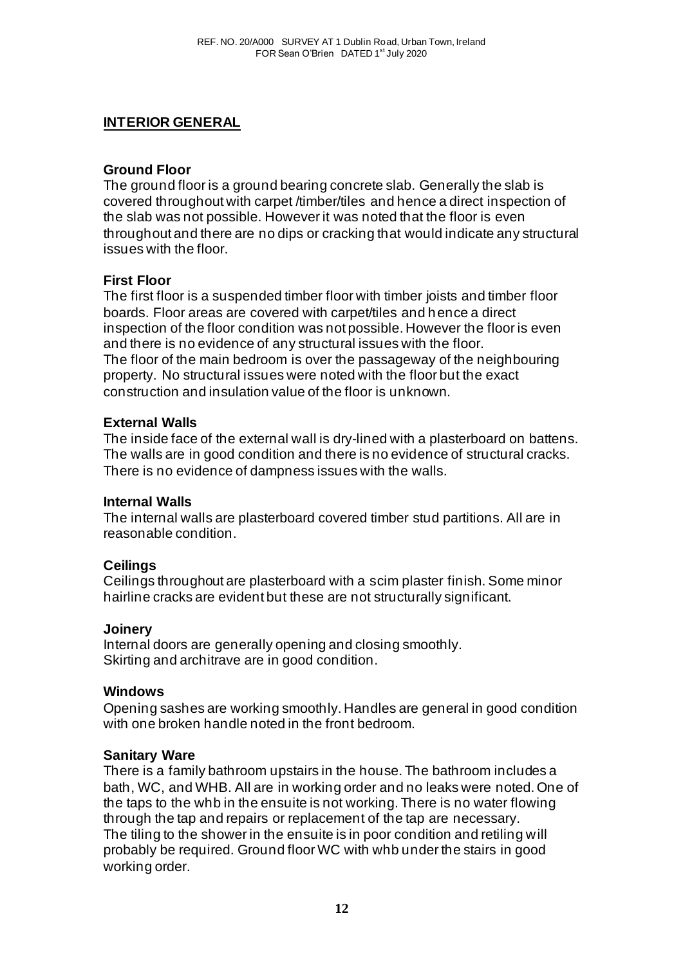## **INTERIOR GENERAL**

## **Ground Floor**

The ground floor is a ground bearing concrete slab. Generally the slab is covered throughout with carpet /timber/tiles and hence a direct inspection of the slab was not possible. However it was noted that the floor is even throughout and there are no dips or cracking that would indicate any structural issues with the floor.

## **First Floor**

The first floor is a suspended timber floor with timber joists and timber floor boards. Floor areas are covered with carpet/tiles and hence a direct inspection of the floor condition was not possible. However the floor is even and there is no evidence of any structural issues with the floor. The floor of the main bedroom is over the passageway of the neighbouring property. No structural issues were noted with the floor but the exact construction and insulation value of the floor is unknown.

## **External Walls**

The inside face of the external wall is dry-lined with a plasterboard on battens. The walls are in good condition and there is no evidence of structural cracks. There is no evidence of dampness issues with the walls.

## **Internal Walls**

The internal walls are plasterboard covered timber stud partitions. All are in reasonable condition.

## **Ceilings**

Ceilings throughout are plasterboard with a scim plaster finish. Some minor hairline cracks are evident but these are not structurally significant.

## **Joinery**

Internal doors are generally opening and closing smoothly. Skirting and architrave are in good condition.

## **Windows**

Opening sashes are working smoothly. Handles are general in good condition with one broken handle noted in the front bedroom.

## **Sanitary Ware**

There is a family bathroom upstairs in the house. The bathroom includes a bath, WC, and WHB. All are in working order and no leaks were noted. One of the taps to the whb in the ensuite is not working. There is no water flowing through the tap and repairs or replacement of the tap are necessary. The tiling to the shower in the ensuite is in poor condition and retiling will probably be required. Ground floor WC with whb under the stairs in good working order.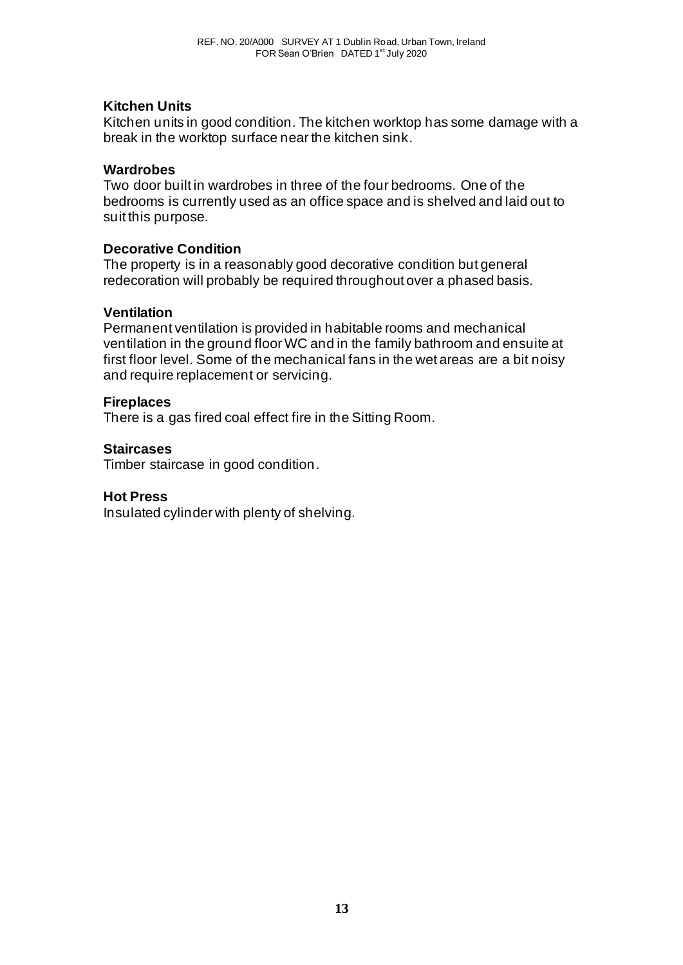## **Kitchen Units**

Kitchen units in good condition. The kitchen worktop has some damage with a break in the worktop surface near the kitchen sink.

#### **Wardrobes**

Two door built in wardrobes in three of the four bedrooms. One of the bedrooms is currently used as an office space and is shelved and laid out to suit this purpose.

## **Decorative Condition**

The property is in a reasonably good decorative condition but general redecoration will probably be required throughout over a phased basis.

#### **Ventilation**

Permanent ventilation is provided in habitable rooms and mechanical ventilation in the ground floor WC and in the family bathroom and ensuite at first floor level. Some of the mechanical fans in the wet areas are a bit noisy and require replacement or servicing.

#### **Fireplaces**

There is a gas fired coal effect fire in the Sitting Room.

#### **Staircases**

Timber staircase in good condition.

## **Hot Press**

Insulated cylinder with plenty of shelving.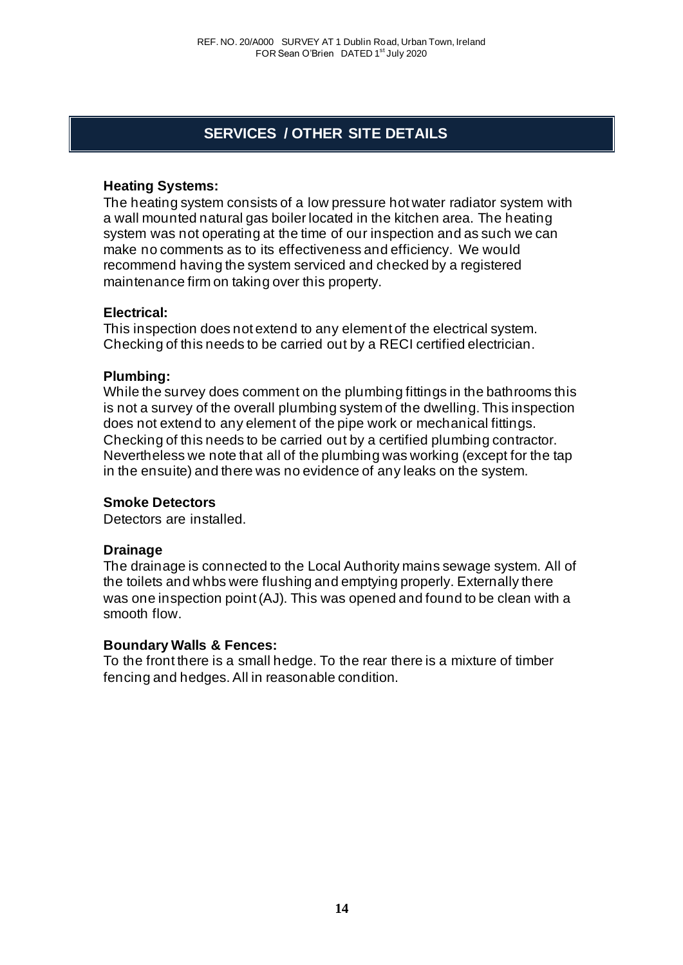# **SERVICES / OTHER SITE DETAILS**

#### **Heating Systems:**

The heating system consists of a low pressure hot water radiator system with a wall mounted natural gas boiler located in the kitchen area. The heating system was not operating at the time of our inspection and as such we can make no comments as to its effectiveness and efficiency. We would recommend having the system serviced and checked by a registered maintenance firm on taking over this property.

#### **Electrical:**

This inspection does not extend to any element of the electrical system. Checking of this needs to be carried out by a RECI certified electrician.

#### **Plumbing:**

While the survey does comment on the plumbing fittings in the bathrooms this is not a survey of the overall plumbing system of the dwelling. This inspection does not extend to any element of the pipe work or mechanical fittings. Checking of this needs to be carried out by a certified plumbing contractor. Nevertheless we note that all of the plumbing was working (except for the tap in the ensuite) and there was no evidence of any leaks on the system.

#### **Smoke Detectors**

Detectors are installed.

#### **Drainage**

The drainage is connected to the Local Authority mains sewage system. All of the toilets and whbs were flushing and emptying properly. Externally there was one inspection point (AJ). This was opened and found to be clean with a smooth flow.

#### **Boundary Walls & Fences:**

To the front there is a small hedge. To the rear there is a mixture of timber fencing and hedges. All in reasonable condition.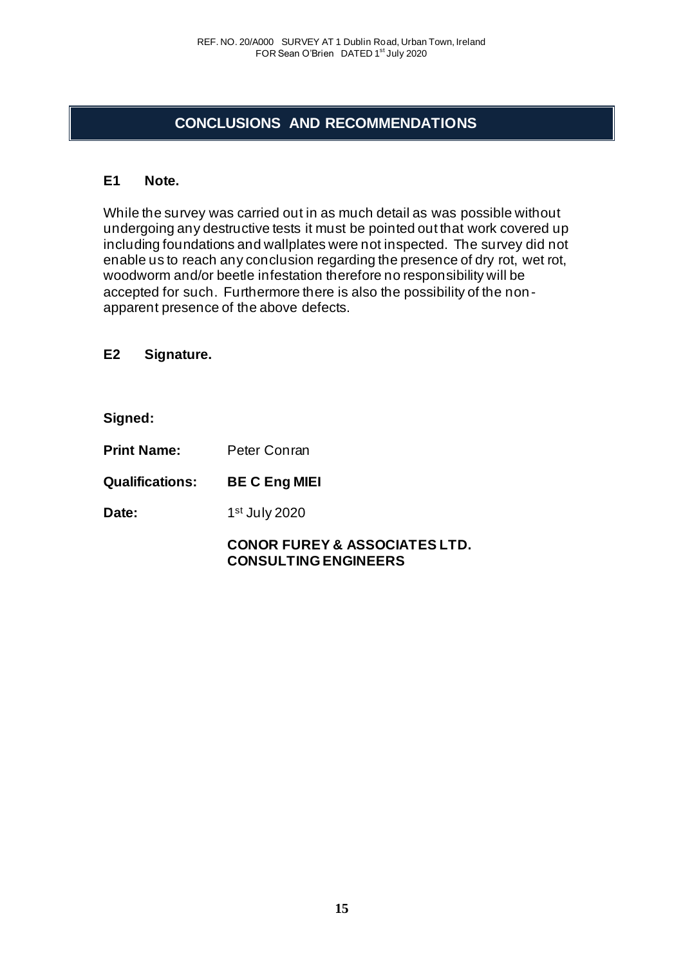# **CONCLUSIONS AND RECOMMENDATIONS**

## **E1 Note.**

While the survey was carried out in as much detail as was possible without undergoing any destructive tests it must be pointed out that work covered up including foundations and wallplates were not inspected. The survey did not enable us to reach any conclusion regarding the presence of dry rot, wet rot, woodworm and/or beetle infestation therefore no responsibility will be accepted for such. Furthermore there is also the possibility of the non apparent presence of the above defects.

**E2 Signature.**

**Signed:**

**Print Name:** Peter Conran **Qualifications: BE C Eng MIEI**  Date: 1st July 2020

> **CONOR FUREY & ASSOCIATES LTD. CONSULTING ENGINEERS**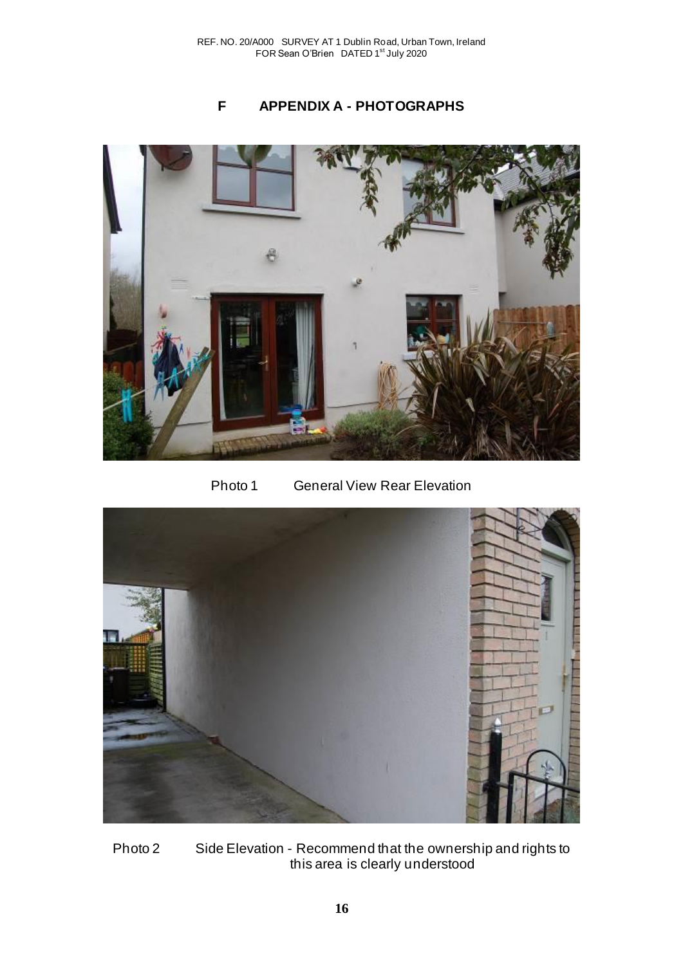# **F APPENDIX A - PHOTOGRAPHS**



Photo 1 General View Rear Elevation



Photo 2 Side Elevation - Recommend that the ownership and rights to this area is clearly understood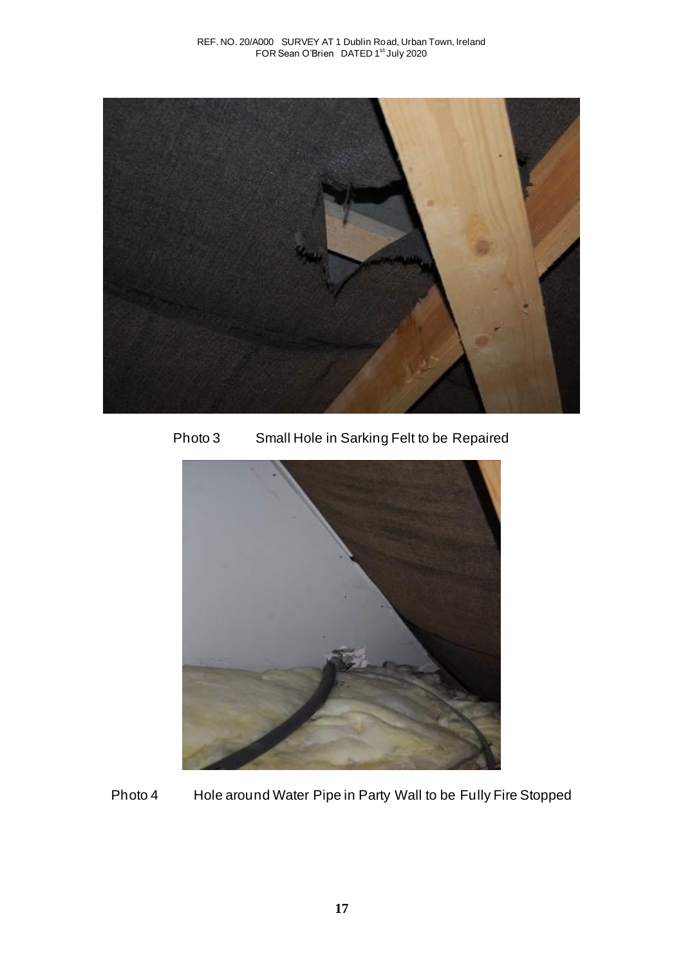

Photo 3 Small Hole in Sarking Felt to be Repaired



Photo 4 Hole around Water Pipe in Party Wall to be Fully Fire Stopped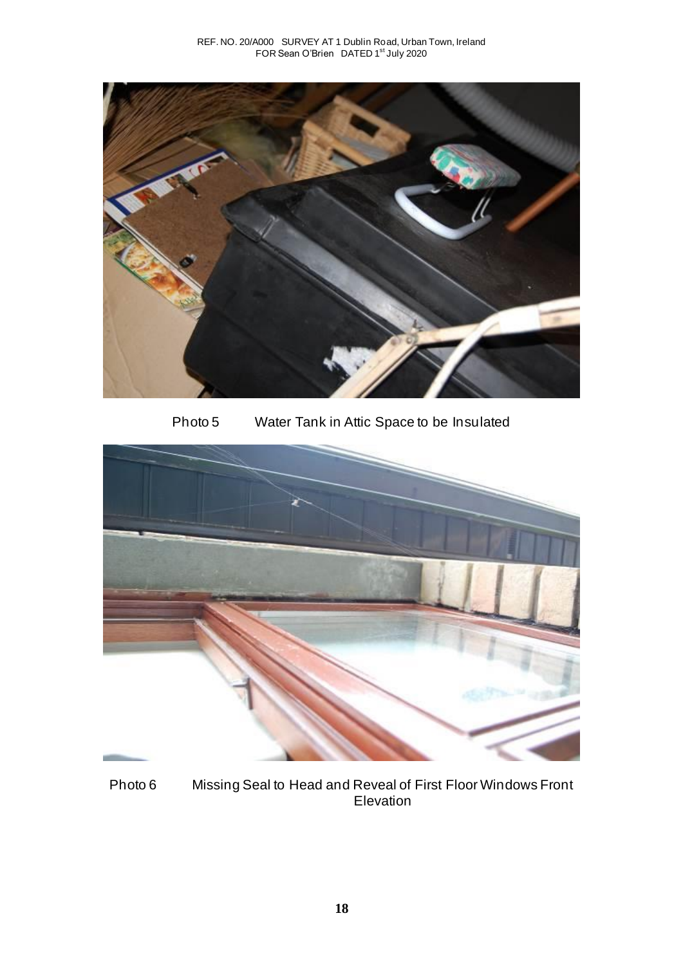

Photo 5 Water Tank in Attic Space to be Insulated



Photo 6 Missing Seal to Head and Reveal of First Floor Windows Front Elevation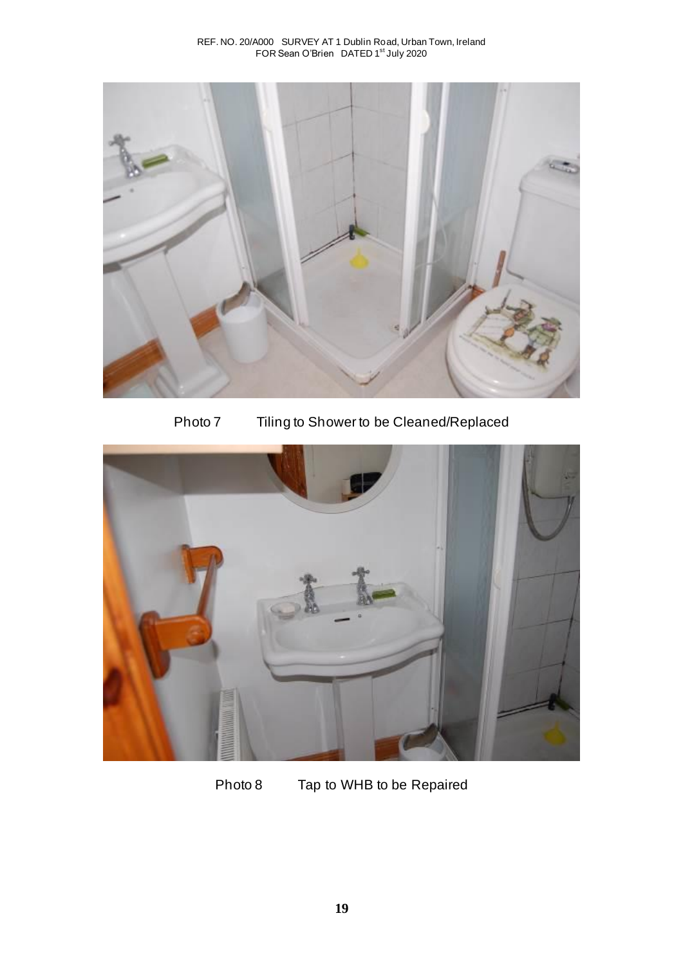

Photo 7 Tiling to Shower to be Cleaned/Replaced



Photo 8 Tap to WHB to be Repaired